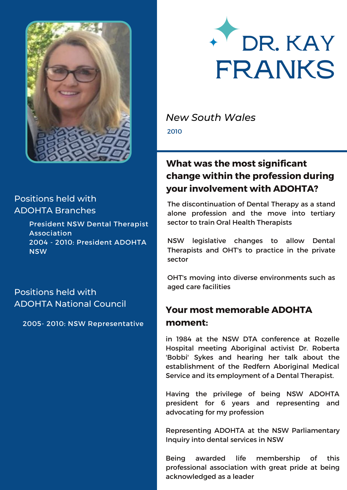

## Positions held with ADOHTA Branches

President NSW Dental Therapist Association 2004 - 2010: President ADOHTA **NSW** 

Positions held with ADOHTA National Council

2005- 2010: NSW Representative



*New South Wales*

2010

## **What was the most significant change within the profession during your involvement with ADOHTA?**

The discontinuation of Dental Therapy as a stand alone profession and the move into tertiary sector to train Oral Health Therapists

NSW legislative changes to allow Dental Therapists and OHT's to practice in the private sector

OHT's moving into diverse environments such as aged care facilities

## **Your most memorable ADOHTA moment:**

in 1984 at the NSW DTA conference at Rozelle Hospital meeting Aboriginal activist Dr. Roberta 'Bobbi' Sykes and hearing her talk about the establishment of the Redfern Aboriginal Medical Service and its employment of a Dental Therapist.

Having the privilege of being NSW ADOHTA president for 6 years and representing and advocating for my profession

Representing ADOHTA at the NSW Parliamentary Inquiry into dental services in NSW

Being awarded life membership of this professional association with great pride at being acknowledged as a leader